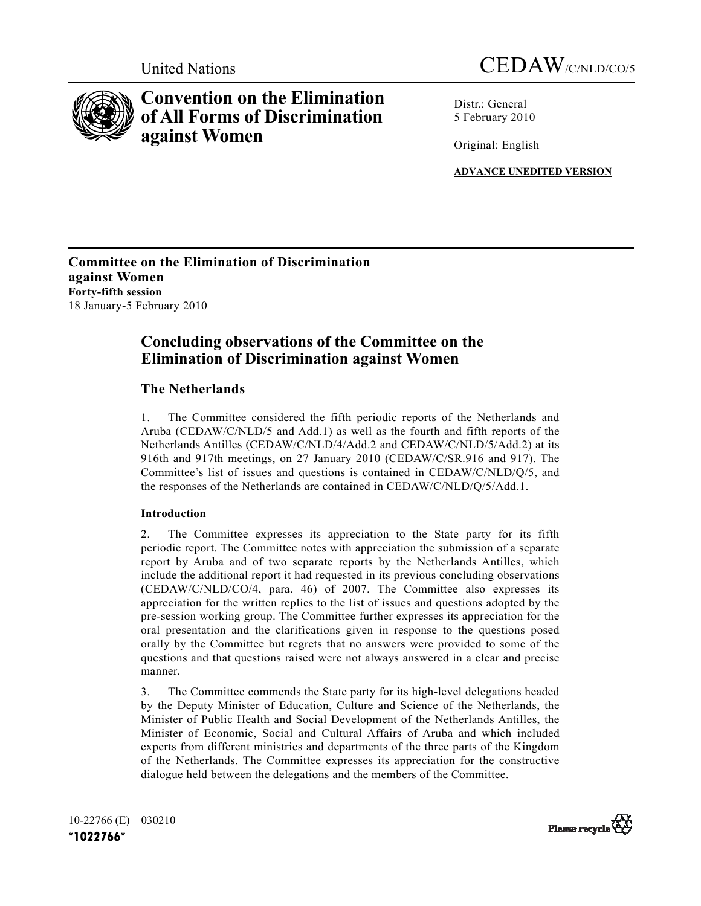



# **Convention on the Elimination of All Forms of Discrimination against Women**

Distr · General 5 February 2010

Original: English

**ADVANCE UNEDITED VERSION**

**Committee on the Elimination of Discrimination against Women Forty-fifth session** 18 January-5 February 2010

## **Concluding observations of the Committee on the Elimination of Discrimination against Women**

## **The Netherlands**

1. The Committee considered the fifth periodic reports of the Netherlands and Aruba (CEDAW/C/NLD/5 and Add.1) as well as the fourth and fifth reports of the Netherlands Antilles (CEDAW/C/NLD/4/Add.2 and CEDAW/C/NLD/5/Add.2) at its 916th and 917th meetings, on 27 January 2010 (CEDAW/C/SR.916 and 917). The Committee's list of issues and questions is contained in CEDAW/C/NLD/Q/5, and the responses of the Netherlands are contained in CEDAW/C/NLD/Q/5/Add.1.

## **Introduction**

2. The Committee expresses its appreciation to the State party for its fifth periodic report. The Committee notes with appreciation the submission of a separate report by Aruba and of two separate reports by the Netherlands Antilles, which include the additional report it had requested in its previous concluding observations (CEDAW/C/NLD/CO/4, para. 46) of 2007. The Committee also expresses its appreciation for the written replies to the list of issues and questions adopted by the pre-session working group. The Committee further expresses its appreciation for the oral presentation and the clarifications given in response to the questions posed orally by the Committee but regrets that no answers were provided to some of the questions and that questions raised were not always answered in a clear and precise manner.

3. The Committee commends the State party for its high-level delegations headed by the Deputy Minister of Education, Culture and Science of the Netherlands, the Minister of Public Health and Social Development of the Netherlands Antilles, the Minister of Economic, Social and Cultural Affairs of Aruba and which included experts from different ministries and departments of the three parts of the Kingdom of the Netherlands. The Committee expresses its appreciation for the constructive dialogue held between the delegations and the members of the Committee.

10-22766 (E) 030210 **!"#\$\$%&&!'**

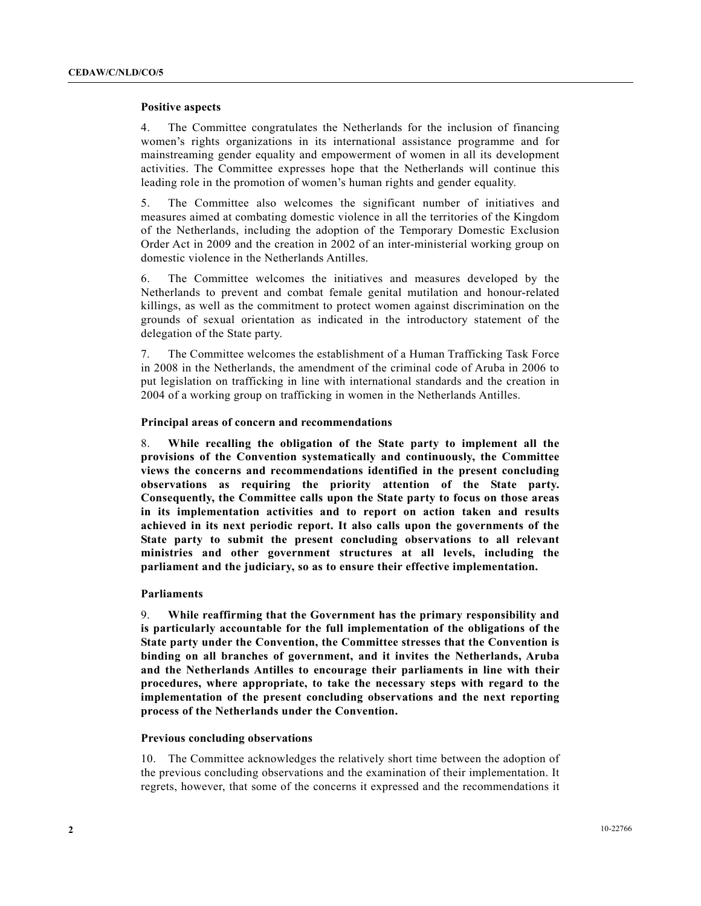#### **Positive aspects**

4. The Committee congratulates the Netherlands for the inclusion of financing women's rights organizations in its international assistance programme and for mainstreaming gender equality and empowerment of women in all its development activities. The Committee expresses hope that the Netherlands will continue this leading role in the promotion of women's human rights and gender equality.

5. The Committee also welcomes the significant number of initiatives and measures aimed at combating domestic violence in all the territories of the Kingdom of the Netherlands, including the adoption of the Temporary Domestic Exclusion Order Act in 2009 and the creation in 2002 of an inter-ministerial working group on domestic violence in the Netherlands Antilles.

6. The Committee welcomes the initiatives and measures developed by the Netherlands to prevent and combat female genital mutilation and honour-related killings, as well as the commitment to protect women against discrimination on the grounds of sexual orientation as indicated in the introductory statement of the delegation of the State party.

7. The Committee welcomes the establishment of a Human Trafficking Task Force in 2008 in the Netherlands, the amendment of the criminal code of Aruba in 2006 to put legislation on trafficking in line with international standards and the creation in 2004 of a working group on trafficking in women in the Netherlands Antilles.

#### **Principal areas of concern and recommendations**

8. **While recalling the obligation of the State party to implement all the provisions of the Convention systematically and continuously, the Committee views the concerns and recommendations identified in the present concluding observations as requiring the priority attention of the State party. Consequently, the Committee calls upon the State party to focus on those areas in its implementation activities and to report on action taken and results achieved in its next periodic report. It also calls upon the governments of the State party to submit the present concluding observations to all relevant ministries and other government structures at all levels, including the parliament and the judiciary, so as to ensure their effective implementation.**

#### **Parliaments**

9. **While reaffirming that the Government has the primary responsibility and is particularly accountable for the full implementation of the obligations of the State party under the Convention, the Committee stresses that the Convention is binding on all branches of government, and it invites the Netherlands, Aruba and the Netherlands Antilles to encourage their parliaments in line with their procedures, where appropriate, to take the necessary steps with regard to the implementation of the present concluding observations and the next reporting process of the Netherlands under the Convention.**

#### **Previous concluding observations**

10. The Committee acknowledges the relatively short time between the adoption of the previous concluding observations and the examination of their implementation. It regrets, however, that some of the concerns it expressed and the recommendations it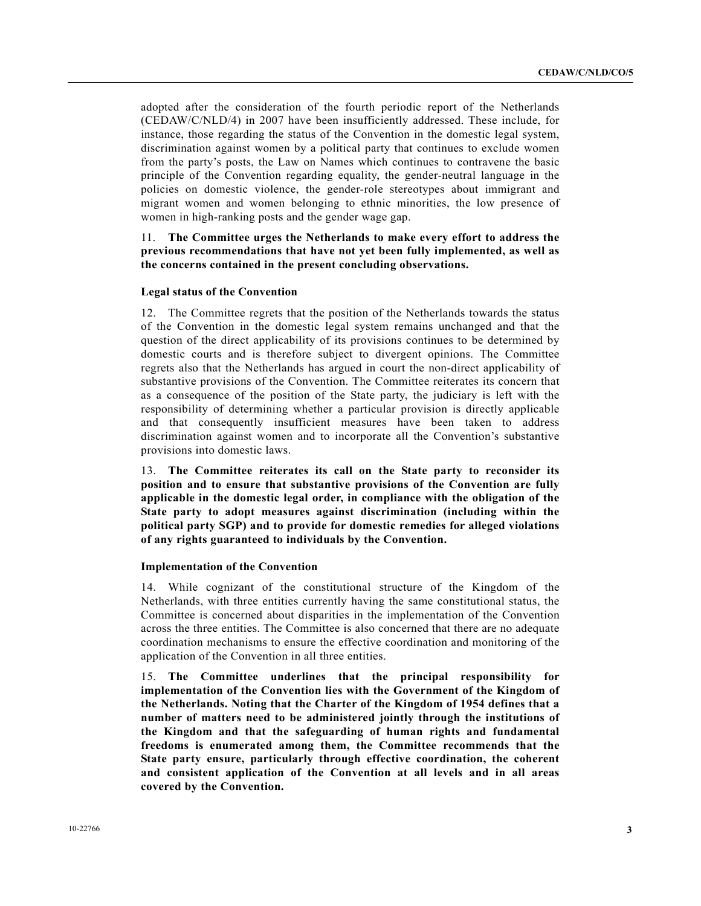adopted after the consideration of the fourth periodic report of the Netherlands (CEDAW/C/NLD/4) in 2007 have been insufficiently addressed. These include, for instance, those regarding the status of the Convention in the domestic legal system, discrimination against women by a political party that continues to exclude women from the party's posts, the Law on Names which continues to contravene the basic principle of the Convention regarding equality, the gender-neutral language in the policies on domestic violence, the gender-role stereotypes about immigrant and migrant women and women belonging to ethnic minorities, the low presence of women in high-ranking posts and the gender wage gap.

## 11. **The Committee urges the Netherlands to make every effort to address the previous recommendations that have not yet been fully implemented, as well as the concerns contained in the present concluding observations.**

#### **Legal status of the Convention**

12. The Committee regrets that the position of the Netherlands towards the status of the Convention in the domestic legal system remains unchanged and that the question of the direct applicability of its provisions continues to be determined by domestic courts and is therefore subject to divergent opinions. The Committee regrets also that the Netherlands has argued in court the non-direct applicability of substantive provisions of the Convention. The Committee reiterates its concern that as a consequence of the position of the State party, the judiciary is left with the responsibility of determining whether a particular provision is directly applicable and that consequently insufficient measures have been taken to address discrimination against women and to incorporate all the Convention's substantive provisions into domestic laws.

13. **The Committee reiterates its call on the State party to reconsider its position and to ensure that substantive provisions of the Convention are fully applicable in the domestic legal order, in compliance with the obligation of the State party to adopt measures against discrimination (including within the political party SGP) and to provide for domestic remedies for alleged violations of any rights guaranteed to individuals by the Convention.**

#### **Implementation of the Convention**

14. While cognizant of the constitutional structure of the Kingdom of the Netherlands, with three entities currently having the same constitutional status, the Committee is concerned about disparities in the implementation of the Convention across the three entities. The Committee is also concerned that there are no adequate coordination mechanisms to ensure the effective coordination and monitoring of the application of the Convention in all three entities.

15. **The Committee underlines that the principal responsibility for implementation of the Convention lies with the Government of the Kingdom of the Netherlands. Noting that the Charter of the Kingdom of 1954 defines that a number of matters need to be administered jointly through the institutions of the Kingdom and that the safeguarding of human rights and fundamental freedoms is enumerated among them, the Committee recommends that the State party ensure, particularly through effective coordination, the coherent and consistent application of the Convention at all levels and in all areas covered by the Convention.**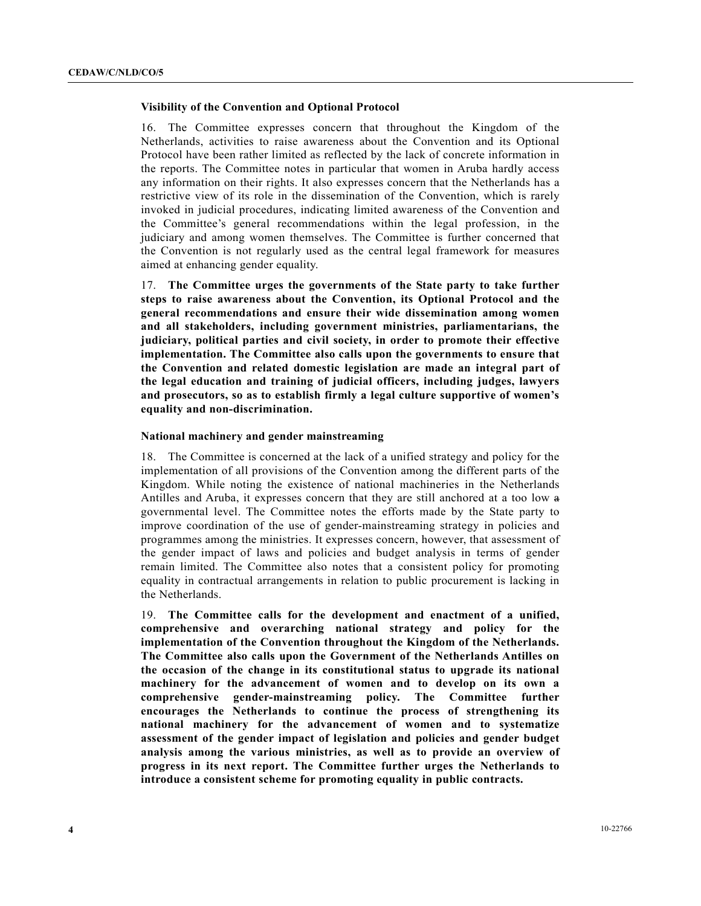## **Visibility of the Convention and Optional Protocol**

16. The Committee expresses concern that throughout the Kingdom of the Netherlands, activities to raise awareness about the Convention and its Optional Protocol have been rather limited as reflected by the lack of concrete information in the reports. The Committee notes in particular that women in Aruba hardly access any information on their rights. It also expresses concern that the Netherlands has a restrictive view of its role in the dissemination of the Convention, which is rarely invoked in judicial procedures, indicating limited awareness of the Convention and the Committee's general recommendations within the legal profession, in the judiciary and among women themselves. The Committee is further concerned that the Convention is not regularly used as the central legal framework for measures aimed at enhancing gender equality.

17. **The Committee urges the governments of the State party to take further steps to raise awareness about the Convention, its Optional Protocol and the general recommendations and ensure their wide dissemination among women and all stakeholders, including government ministries, parliamentarians, the judiciary, political parties and civil society, in order to promote their effective implementation. The Committee also calls upon the governments to ensure that the Convention and related domestic legislation are made an integral part of the legal education and training of judicial officers, including judges, lawyers and prosecutors, so as to establish firmly a legal culture supportive of women's equality and non-discrimination.**

#### **National machinery and gender mainstreaming**

18. The Committee is concerned at the lack of a unified strategy and policy for the implementation of all provisions of the Convention among the different parts of the Kingdom. While noting the existence of national machineries in the Netherlands Antilles and Aruba, it expresses concern that they are still anchored at a too low a governmental level. The Committee notes the efforts made by the State party to improve coordination of the use of gender-mainstreaming strategy in policies and programmes among the ministries. It expresses concern, however, that assessment of the gender impact of laws and policies and budget analysis in terms of gender remain limited. The Committee also notes that a consistent policy for promoting equality in contractual arrangements in relation to public procurement is lacking in the Netherlands.

19. **The Committee calls for the development and enactment of a unified, comprehensive and overarching national strategy and policy for the implementation of the Convention throughout the Kingdom of the Netherlands. The Committee also calls upon the Government of the Netherlands Antilles on the occasion of the change in its constitutional status to upgrade its national machinery for the advancement of women and to develop on its own a comprehensive gender-mainstreaming policy. The Committee further encourages the Netherlands to continue the process of strengthening its national machinery for the advancement of women and to systematize assessment of the gender impact of legislation and policies and gender budget analysis among the various ministries, as well as to provide an overview of progress in its next report. The Committee further urges the Netherlands to introduce a consistent scheme for promoting equality in public contracts.**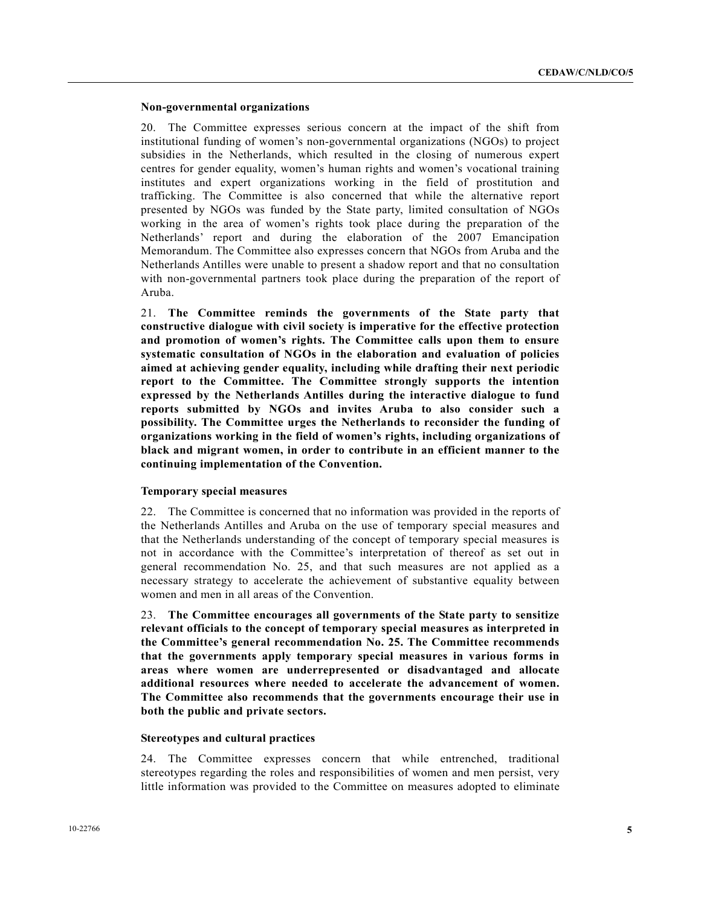#### **Non-governmental organizations**

20. The Committee expresses serious concern at the impact of the shift from institutional funding of women's non-governmental organizations (NGOs) to project subsidies in the Netherlands, which resulted in the closing of numerous expert centres for gender equality, women's human rights and women's vocational training institutes and expert organizations working in the field of prostitution and trafficking. The Committee is also concerned that while the alternative report presented by NGOs was funded by the State party, limited consultation of NGOs working in the area of women's rights took place during the preparation of the Netherlands' report and during the elaboration of the 2007 Emancipation Memorandum. The Committee also expresses concern that NGOs from Aruba and the Netherlands Antilles were unable to present a shadow report and that no consultation with non-governmental partners took place during the preparation of the report of Aruba.

21. **The Committee reminds the governments of the State party that constructive dialogue with civil society is imperative for the effective protection and promotion of women's rights. The Committee calls upon them to ensure systematic consultation of NGOs in the elaboration and evaluation of policies aimed at achieving gender equality, including while drafting their next periodic report to the Committee. The Committee strongly supports the intention expressed by the Netherlands Antilles during the interactive dialogue to fund reports submitted by NGOs and invites Aruba to also consider such a possibility. The Committee urges the Netherlands to reconsider the funding of organizations working in the field of women's rights, including organizations of black and migrant women, in order to contribute in an efficient manner to the continuing implementation of the Convention.**

#### **Temporary special measures**

22. The Committee is concerned that no information was provided in the reports of the Netherlands Antilles and Aruba on the use of temporary special measures and that the Netherlands understanding of the concept of temporary special measures is not in accordance with the Committee's interpretation of thereof as set out in general recommendation No. 25, and that such measures are not applied as a necessary strategy to accelerate the achievement of substantive equality between women and men in all areas of the Convention.

23. **The Committee encourages all governments of the State party to sensitize relevant officials to the concept of temporary special measures as interpreted in the Committee's general recommendation No. 25. The Committee recommends that the governments apply temporary special measures in various forms in areas where women are underrepresented or disadvantaged and allocate additional resources where needed to accelerate the advancement of women. The Committee also recommends that the governments encourage their use in both the public and private sectors.**

#### **Stereotypes and cultural practices**

24. The Committee expresses concern that while entrenched, traditional stereotypes regarding the roles and responsibilities of women and men persist, very little information was provided to the Committee on measures adopted to eliminate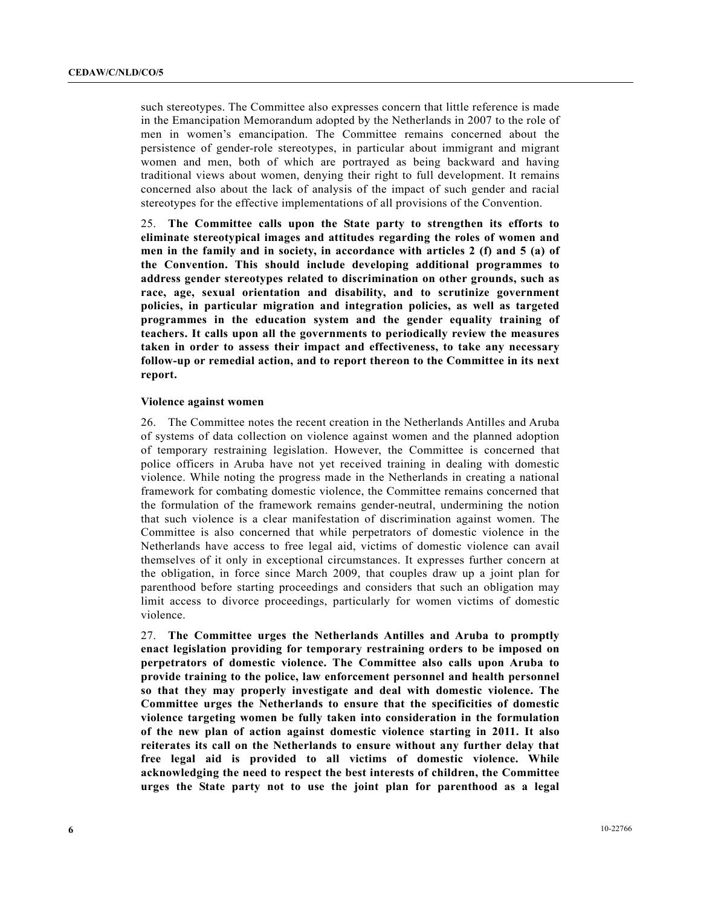such stereotypes. The Committee also expresses concern that little reference is made in the Emancipation Memorandum adopted by the Netherlands in 2007 to the role of men in women's emancipation. The Committee remains concerned about the persistence of gender-role stereotypes, in particular about immigrant and migrant women and men, both of which are portrayed as being backward and having traditional views about women, denying their right to full development. It remains concerned also about the lack of analysis of the impact of such gender and racial stereotypes for the effective implementations of all provisions of the Convention.

25. **The Committee calls upon the State party to strengthen its efforts to eliminate stereotypical images and attitudes regarding the roles of women and men in the family and in society, in accordance with articles 2 (f) and 5 (a) of the Convention. This should include developing additional programmes to address gender stereotypes related to discrimination on other grounds, such as race, age, sexual orientation and disability, and to scrutinize government policies, in particular migration and integration policies, as well as targeted programmes in the education system and the gender equality training of teachers. It calls upon all the governments to periodically review the measures taken in order to assess their impact and effectiveness, to take any necessary follow-up or remedial action, and to report thereon to the Committee in its next report.**

#### **Violence against women**

26. The Committee notes the recent creation in the Netherlands Antilles and Aruba of systems of data collection on violence against women and the planned adoption of temporary restraining legislation. However, the Committee is concerned that police officers in Aruba have not yet received training in dealing with domestic violence. While noting the progress made in the Netherlands in creating a national framework for combating domestic violence, the Committee remains concerned that the formulation of the framework remains gender-neutral, undermining the notion that such violence is a clear manifestation of discrimination against women. The Committee is also concerned that while perpetrators of domestic violence in the Netherlands have access to free legal aid, victims of domestic violence can avail themselves of it only in exceptional circumstances. It expresses further concern at the obligation, in force since March 2009, that couples draw up a joint plan for parenthood before starting proceedings and considers that such an obligation may limit access to divorce proceedings, particularly for women victims of domestic violence.

27. **The Committee urges the Netherlands Antilles and Aruba to promptly enact legislation providing for temporary restraining orders to be imposed on perpetrators of domestic violence. The Committee also calls upon Aruba to provide training to the police, law enforcement personnel and health personnel so that they may properly investigate and deal with domestic violence. The Committee urges the Netherlands to ensure that the specificities of domestic violence targeting women be fully taken into consideration in the formulation of the new plan of action against domestic violence starting in 2011. It also reiterates its call on the Netherlands to ensure without any further delay that free legal aid is provided to all victims of domestic violence. While acknowledging the need to respect the best interests of children, the Committee urges the State party not to use the joint plan for parenthood as a legal**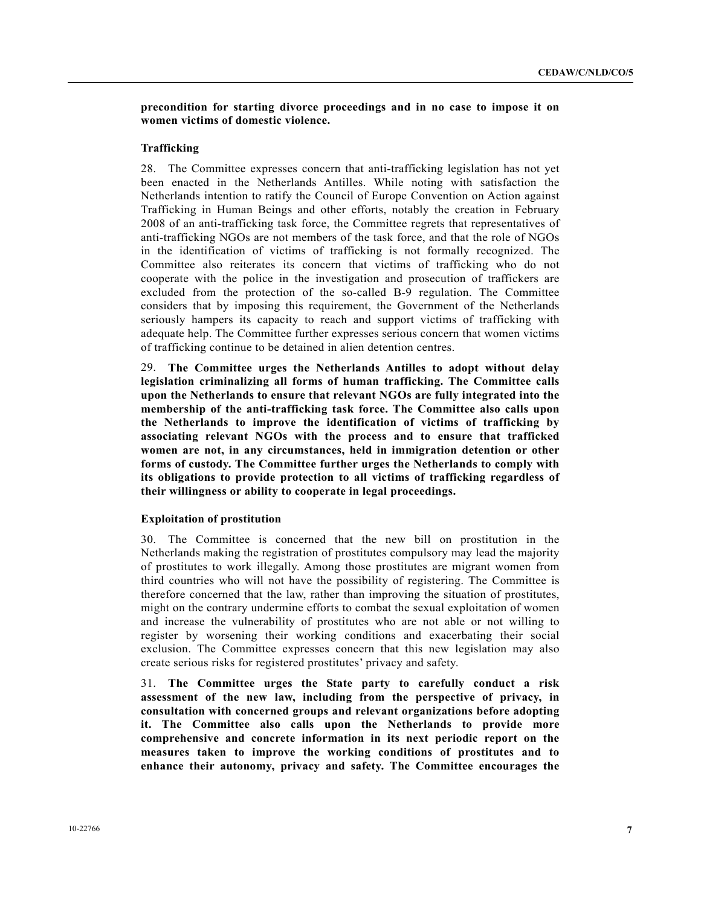## **precondition for starting divorce proceedings and in no case to impose it on women victims of domestic violence.**

#### **Trafficking**

28. The Committee expresses concern that anti-trafficking legislation has not yet been enacted in the Netherlands Antilles. While noting with satisfaction the Netherlands intention to ratify the Council of Europe Convention on Action against Trafficking in Human Beings and other efforts, notably the creation in February 2008 of an anti-trafficking task force, the Committee regrets that representatives of anti-trafficking NGOs are not members of the task force, and that the role of NGOs in the identification of victims of trafficking is not formally recognized. The Committee also reiterates its concern that victims of trafficking who do not cooperate with the police in the investigation and prosecution of traffickers are excluded from the protection of the so-called B-9 regulation. The Committee considers that by imposing this requirement, the Government of the Netherlands seriously hampers its capacity to reach and support victims of trafficking with adequate help. The Committee further expresses serious concern that women victims of trafficking continue to be detained in alien detention centres.

29. **The Committee urges the Netherlands Antilles to adopt without delay legislation criminalizing all forms of human trafficking. The Committee calls upon the Netherlands to ensure that relevant NGOs are fully integrated into the membership of the anti-trafficking task force. The Committee also calls upon the Netherlands to improve the identification of victims of trafficking by associating relevant NGOs with the process and to ensure that trafficked women are not, in any circumstances, held in immigration detention or other forms of custody. The Committee further urges the Netherlands to comply with its obligations to provide protection to all victims of trafficking regardless of their willingness or ability to cooperate in legal proceedings.**

#### **Exploitation of prostitution**

30. The Committee is concerned that the new bill on prostitution in the Netherlands making the registration of prostitutes compulsory may lead the majority of prostitutes to work illegally. Among those prostitutes are migrant women from third countries who will not have the possibility of registering. The Committee is therefore concerned that the law, rather than improving the situation of prostitutes, might on the contrary undermine efforts to combat the sexual exploitation of women and increase the vulnerability of prostitutes who are not able or not willing to register by worsening their working conditions and exacerbating their social exclusion. The Committee expresses concern that this new legislation may also create serious risks for registered prostitutes' privacy and safety.

31. **The Committee urges the State party to carefully conduct a risk assessment of the new law, including from the perspective of privacy, in consultation with concerned groups and relevant organizations before adopting it. The Committee also calls upon the Netherlands to provide more comprehensive and concrete information in its next periodic report on the measures taken to improve the working conditions of prostitutes and to enhance their autonomy, privacy and safety. The Committee encourages the**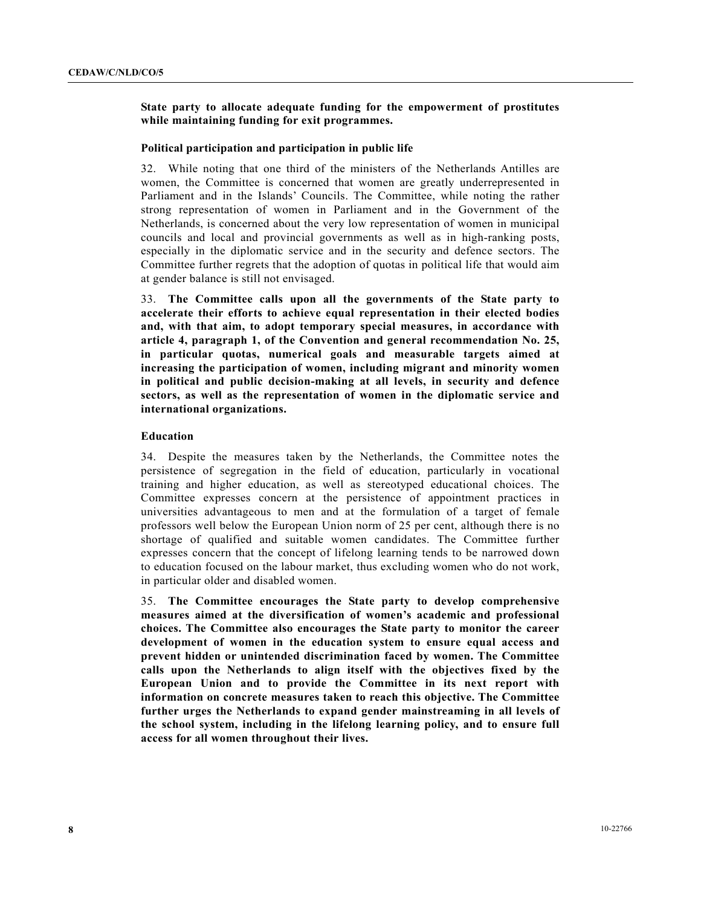## **State party to allocate adequate funding for the empowerment of prostitutes while maintaining funding for exit programmes.**

#### **Political participation and participation in public life**

32. While noting that one third of the ministers of the Netherlands Antilles are women, the Committee is concerned that women are greatly underrepresented in Parliament and in the Islands' Councils. The Committee, while noting the rather strong representation of women in Parliament and in the Government of the Netherlands, is concerned about the very low representation of women in municipal councils and local and provincial governments as well as in high-ranking posts, especially in the diplomatic service and in the security and defence sectors. The Committee further regrets that the adoption of quotas in political life that would aim at gender balance is still not envisaged.

33. **The Committee calls upon all the governments of the State party to accelerate their efforts to achieve equal representation in their elected bodies and, with that aim, to adopt temporary special measures, in accordance with article 4, paragraph 1, of the Convention and general recommendation No. 25, in particular quotas, numerical goals and measurable targets aimed at increasing the participation of women, including migrant and minority women in political and public decision-making at all levels, in security and defence sectors, as well as the representation of women in the diplomatic service and international organizations.**

#### **Education**

34. Despite the measures taken by the Netherlands, the Committee notes the persistence of segregation in the field of education, particularly in vocational training and higher education, as well as stereotyped educational choices. The Committee expresses concern at the persistence of appointment practices in universities advantageous to men and at the formulation of a target of female professors well below the European Union norm of 25 per cent, although there is no shortage of qualified and suitable women candidates. The Committee further expresses concern that the concept of lifelong learning tends to be narrowed down to education focused on the labour market, thus excluding women who do not work, in particular older and disabled women.

35. **The Committee encourages the State party to develop comprehensive measures aimed at the diversification of women's academic and professional choices. The Committee also encourages the State party to monitor the career development of women in the education system to ensure equal access and prevent hidden or unintended discrimination faced by women. The Committee calls upon the Netherlands to align itself with the objectives fixed by the European Union and to provide the Committee in its next report with information on concrete measures taken to reach this objective. The Committee further urges the Netherlands to expand gender mainstreaming in all levels of the school system, including in the lifelong learning policy, and to ensure full access for all women throughout their lives.**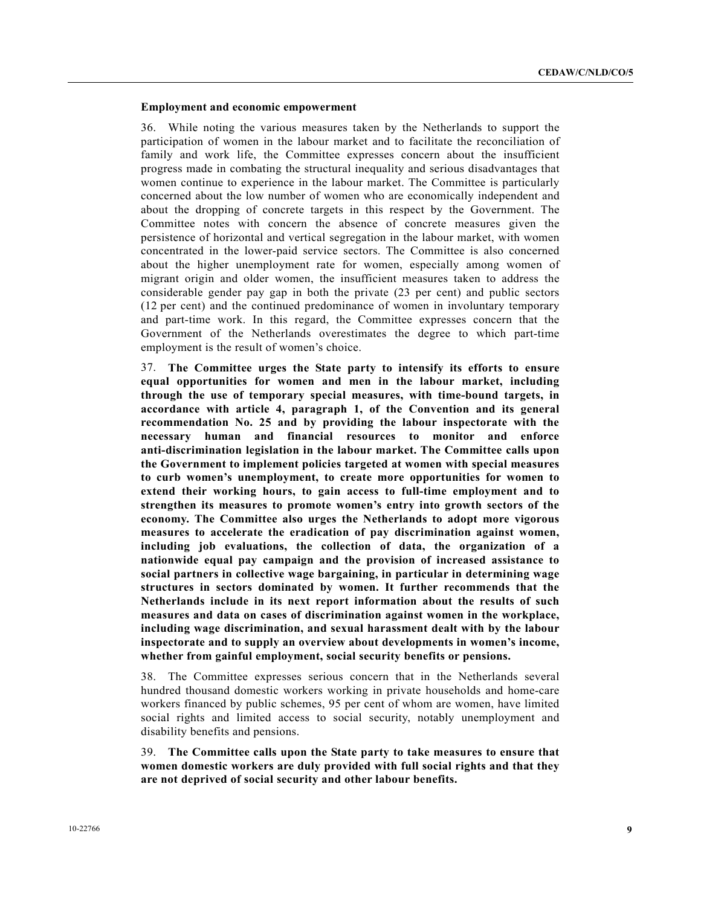#### **Employment and economic empowerment**

36. While noting the various measures taken by the Netherlands to support the participation of women in the labour market and to facilitate the reconciliation of family and work life, the Committee expresses concern about the insufficient progress made in combating the structural inequality and serious disadvantages that women continue to experience in the labour market. The Committee is particularly concerned about the low number of women who are economically independent and about the dropping of concrete targets in this respect by the Government. The Committee notes with concern the absence of concrete measures given the persistence of horizontal and vertical segregation in the labour market, with women concentrated in the lower-paid service sectors. The Committee is also concerned about the higher unemployment rate for women, especially among women of migrant origin and older women, the insufficient measures taken to address the considerable gender pay gap in both the private (23 per cent) and public sectors (12 per cent) and the continued predominance of women in involuntary temporary and part-time work. In this regard, the Committee expresses concern that the Government of the Netherlands overestimates the degree to which part-time employment is the result of women's choice.

37. **The Committee urges the State party to intensify its efforts to ensure equal opportunities for women and men in the labour market, including through the use of temporary special measures, with time-bound targets, in accordance with article 4, paragraph 1, of the Convention and its general recommendation No. 25 and by providing the labour inspectorate with the necessary human and financial resources to monitor and enforce anti-discrimination legislation in the labour market. The Committee calls upon the Government to implement policies targeted at women with special measures to curb women's unemployment, to create more opportunities for women to extend their working hours, to gain access to full-time employment and to strengthen its measures to promote women's entry into growth sectors of the economy. The Committee also urges the Netherlands to adopt more vigorous measures to accelerate the eradication of pay discrimination against women, including job evaluations, the collection of data, the organization of a nationwide equal pay campaign and the provision of increased assistance to social partners in collective wage bargaining, in particular in determining wage structures in sectors dominated by women. It further recommends that the Netherlands include in its next report information about the results of such measures and data on cases of discrimination against women in the workplace, including wage discrimination, and sexual harassment dealt with by the labour inspectorate and to supply an overview about developments in women's income, whether from gainful employment, social security benefits or pensions.**

38. The Committee expresses serious concern that in the Netherlands several hundred thousand domestic workers working in private households and home-care workers financed by public schemes, 95 per cent of whom are women, have limited social rights and limited access to social security, notably unemployment and disability benefits and pensions.

39. **The Committee calls upon the State party to take measures to ensure that women domestic workers are duly provided with full social rights and that they are not deprived of social security and other labour benefits.**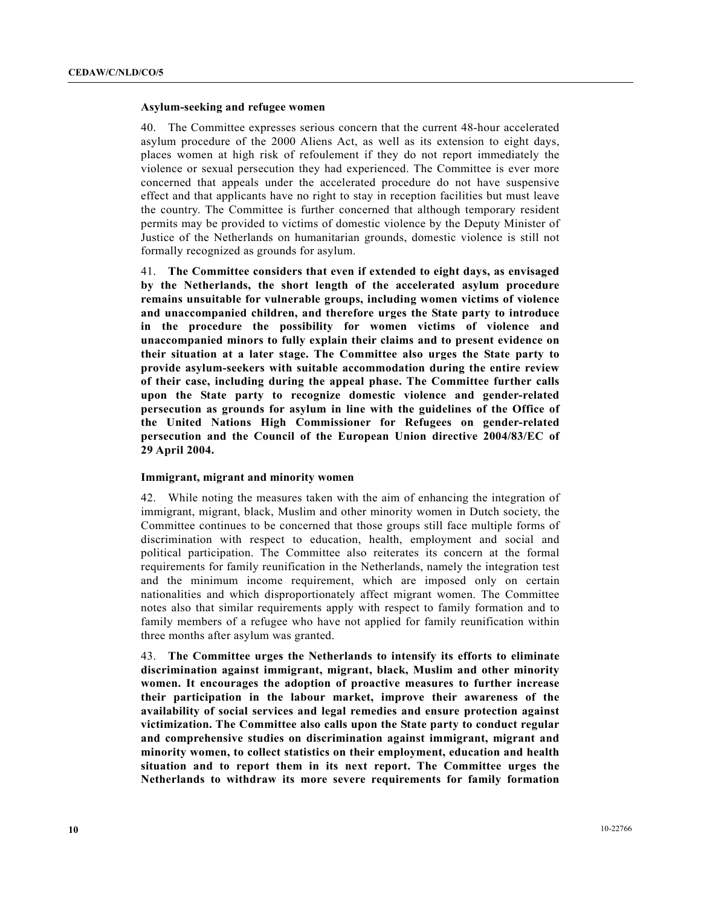#### **Asylum-seeking and refugee women**

40. The Committee expresses serious concern that the current 48-hour accelerated asylum procedure of the 2000 Aliens Act, as well as its extension to eight days, places women at high risk of refoulement if they do not report immediately the violence or sexual persecution they had experienced. The Committee is ever more concerned that appeals under the accelerated procedure do not have suspensive effect and that applicants have no right to stay in reception facilities but must leave the country. The Committee is further concerned that although temporary resident permits may be provided to victims of domestic violence by the Deputy Minister of Justice of the Netherlands on humanitarian grounds, domestic violence is still not formally recognized as grounds for asylum.

41. **The Committee considers that even if extended to eight days, as envisaged by the Netherlands, the short length of the accelerated asylum procedure remains unsuitable for vulnerable groups, including women victims of violence and unaccompanied children, and therefore urges the State party to introduce in the procedure the possibility for women victims of violence and unaccompanied minors to fully explain their claims and to present evidence on their situation at a later stage. The Committee also urges the State party to provide asylum-seekers with suitable accommodation during the entire review of their case, including during the appeal phase. The Committee further calls upon the State party to recognize domestic violence and gender-related persecution as grounds for asylum in line with the guidelines of the Office of the United Nations High Commissioner for Refugees on gender-related persecution and the Council of the European Union directive 2004/83/EC of 29 April 2004.**

#### **Immigrant, migrant and minority women**

42. While noting the measures taken with the aim of enhancing the integration of immigrant, migrant, black, Muslim and other minority women in Dutch society, the Committee continues to be concerned that those groups still face multiple forms of discrimination with respect to education, health, employment and social and political participation. The Committee also reiterates its concern at the formal requirements for family reunification in the Netherlands, namely the integration test and the minimum income requirement, which are imposed only on certain nationalities and which disproportionately affect migrant women. The Committee notes also that similar requirements apply with respect to family formation and to family members of a refugee who have not applied for family reunification within three months after asylum was granted.

43. **The Committee urges the Netherlands to intensify its efforts to eliminate discrimination against immigrant, migrant, black, Muslim and other minority women. It encourages the adoption of proactive measures to further increase their participation in the labour market, improve their awareness of the availability of social services and legal remedies and ensure protection against victimization. The Committee also calls upon the State party to conduct regular and comprehensive studies on discrimination against immigrant, migrant and minority women, to collect statistics on their employment, education and health situation and to report them in its next report. The Committee urges the Netherlands to withdraw its more severe requirements for family formation**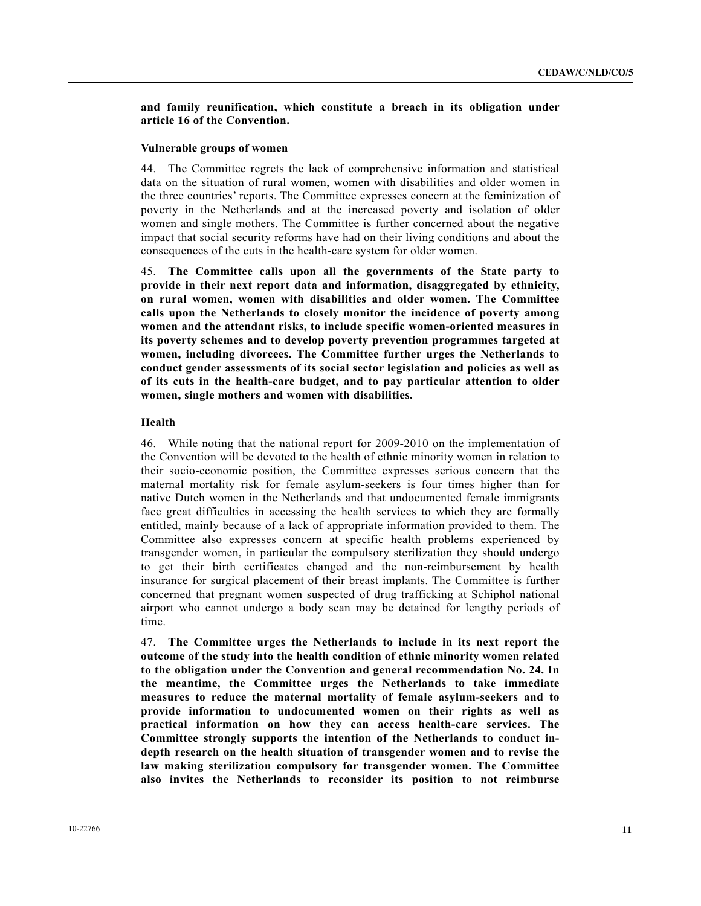### **and family reunification, which constitute a breach in its obligation under article 16 of the Convention.**

#### **Vulnerable groups of women**

44. The Committee regrets the lack of comprehensive information and statistical data on the situation of rural women, women with disabilities and older women in the three countries' reports. The Committee expresses concern at the feminization of poverty in the Netherlands and at the increased poverty and isolation of older women and single mothers. The Committee is further concerned about the negative impact that social security reforms have had on their living conditions and about the consequences of the cuts in the health-care system for older women.

45. **The Committee calls upon all the governments of the State party to provide in their next report data and information, disaggregated by ethnicity, on rural women, women with disabilities and older women. The Committee calls upon the Netherlands to closely monitor the incidence of poverty among women and the attendant risks, to include specific women-oriented measures in its poverty schemes and to develop poverty prevention programmes targeted at women, including divorcees. The Committee further urges the Netherlands to conduct gender assessments of its social sector legislation and policies as well as of its cuts in the health-care budget, and to pay particular attention to older women, single mothers and women with disabilities.**

#### **Health**

46. While noting that the national report for 2009-2010 on the implementation of the Convention will be devoted to the health of ethnic minority women in relation to their socio-economic position, the Committee expresses serious concern that the maternal mortality risk for female asylum-seekers is four times higher than for native Dutch women in the Netherlands and that undocumented female immigrants face great difficulties in accessing the health services to which they are formally entitled, mainly because of a lack of appropriate information provided to them. The Committee also expresses concern at specific health problems experienced by transgender women, in particular the compulsory sterilization they should undergo to get their birth certificates changed and the non-reimbursement by health insurance for surgical placement of their breast implants. The Committee is further concerned that pregnant women suspected of drug trafficking at Schiphol national airport who cannot undergo a body scan may be detained for lengthy periods of time.

47. **The Committee urges the Netherlands to include in its next report the outcome of the study into the health condition of ethnic minority women related to the obligation under the Convention and general recommendation No. 24. In the meantime, the Committee urges the Netherlands to take immediate measures to reduce the maternal mortality of female asylum-seekers and to provide information to undocumented women on their rights as well as practical information on how they can access health-care services. The Committee strongly supports the intention of the Netherlands to conduct indepth research on the health situation of transgender women and to revise the law making sterilization compulsory for transgender women. The Committee also invites the Netherlands to reconsider its position to not reimburse**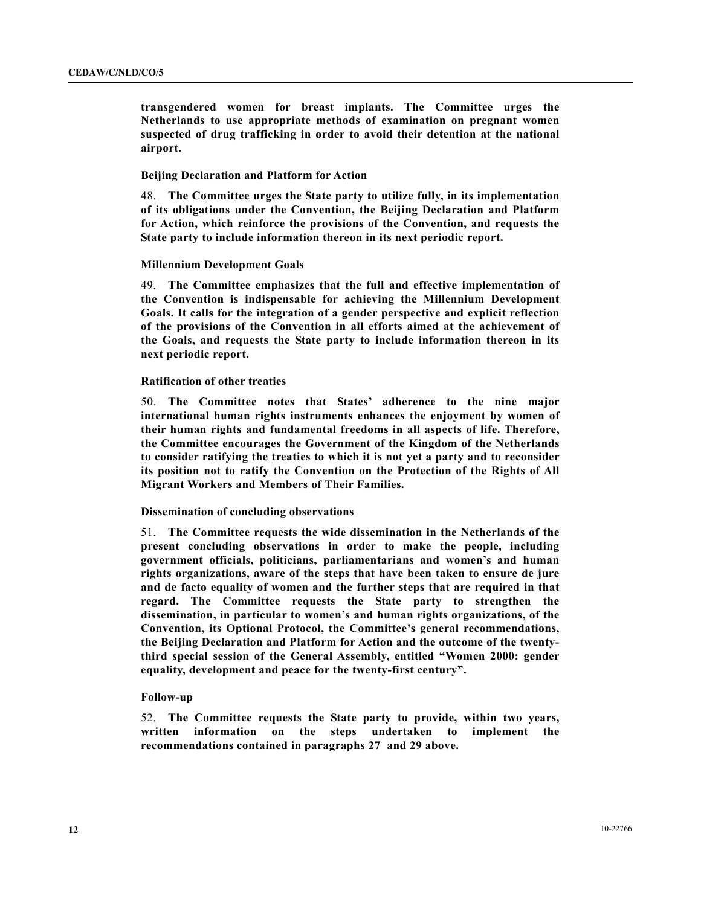**transgendered women for breast implants. The Committee urges the Netherlands to use appropriate methods of examination on pregnant women suspected of drug trafficking in order to avoid their detention at the national airport.**

#### **Beijing Declaration and Platform for Action**

48. **The Committee urges the State party to utilize fully, in its implementation of its obligations under the Convention, the Beijing Declaration and Platform for Action, which reinforce the provisions of the Convention, and requests the State party to include information thereon in its next periodic report.**

#### **Millennium Development Goals**

49. **The Committee emphasizes that the full and effective implementation of the Convention is indispensable for achieving the Millennium Development Goals. It calls for the integration of a gender perspective and explicit reflection of the provisions of the Convention in all efforts aimed at the achievement of the Goals, and requests the State party to include information thereon in its next periodic report.**

#### **Ratification of other treaties**

50. **The Committee notes that States' adherence to the nine major international human rights instruments enhances the enjoyment by women of their human rights and fundamental freedoms in all aspects of life. Therefore, the Committee encourages the Government of the Kingdom of the Netherlands to consider ratifying the treaties to which it is not yet a party and to reconsider its position not to ratify the Convention on the Protection of the Rights of All Migrant Workers and Members of Their Families.**

#### **Dissemination of concluding observations**

51. **The Committee requests the wide dissemination in the Netherlands of the present concluding observations in order to make the people, including government officials, politicians, parliamentarians and women's and human rights organizations, aware of the steps that have been taken to ensure de jure and de facto equality of women and the further steps that are required in that regard. The Committee requests the State party to strengthen the dissemination, in particular to women's and human rights organizations, of the Convention, its Optional Protocol, the Committee's general recommendations, the Beijing Declaration and Platform for Action and the outcome of the twentythird special session of the General Assembly, entitled "Women 2000: gender equality, development and peace for the twenty-first century".**

#### **Follow-up**

52. **The Committee requests the State party to provide, within two years, written information on the steps undertaken to implement the recommendations contained in paragraphs 27 and 29 above.**